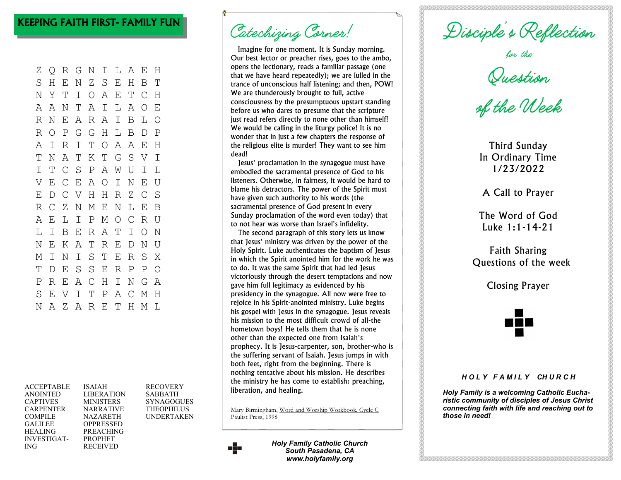# KEEPING FAITH FIRST- FAMILY FUN

Z Q R G N I L A E H S H E N Z S E H B T N Y T I O A E T C H A A N T A I L A O E R N E A R A I B L O R O P G G H L B D P A I R I T O A A E H T N A T K T G S V I I T C S P A W U I L V E C E A O I N E U E D C V H H R Z C S R C Z N M E N L E B A E L I P M O C R U L I B E R A T I O N N E K A T R E D N U M I N I S T E R S X T D E S S E R P P O P R E A C H I N G A S E V I T P A C M H N A Z A R E T H M L

| <b>ACCEPTABLE</b>  | <b>ISAIAH</b>     | <b>RECOVERY</b>   |
|--------------------|-------------------|-------------------|
| <b>ANOINTED</b>    | <b>LIBERATION</b> | <b>SABBATH</b>    |
| <b>CAPTIVES</b>    | <b>MINISTERS</b>  | <b>SYNAGOGUES</b> |
| <b>CARPENTER</b>   | <b>NARRATIVE</b>  | <b>THEOPHILUS</b> |
| <b>COMPILE</b>     | <b>NAZARETH</b>   | <b>UNDERTAKEN</b> |
| <b>GALILEE</b>     | OPPRESSED         |                   |
| <b>HEALING</b>     | <b>PREACHING</b>  |                   |
| <b>INVESTIGAT-</b> | <b>PROPHET</b>    |                   |
| ING                | <b>RECEIVED</b>   |                   |

Catechizing Corner!

Imagine for one moment. It is Sunday morning. Our best lector or preacher rises, goes to the ambo, opens the lectionary, reads a familiar passage (one that we have heard repeatedly); we are lulled in the trance of unconscious half listening; and then, POW! We are thunderously brought to full, active consciousness by the presumptuous upstart standing before us who dares to presume that the scripture just read refers directly to none other than himself! We would be calling in the liturgy police! It is no wonder that in just a few chapters the response of the religious elite is murder! They want to see him dead!

Jesus' proclamation in the synagogue must have embodied the sacramental presence of God to his listeners. Otherwise, in fairness, it would be hard to blame his detractors. The power of the Spirit must have given such authority to his words (the sacramental presence of God present in every Sunday proclamation of the word even today) that to not hear was worse than Israel's infidelity.

The second paragraph of this story lets us know that Jesus' ministry was driven by the power of the Holy Spirit. Luke authenticates the baptism of Jesus in which the Spirit anointed him for the work he was to do. It was the same Spirit that had led Jesus victoriously through the desert temptations and now gave him full legitimacy as evidenced by his presidency in the synagogue. All now were free to rejoice in his Spirit-anointed ministry. Luke begins his gospel with Jesus in the synagogue. Jesus reveals his mission to the most difficult crowd of all-the hometown boys! He tells them that he is none other than the expected one from Isaiah's prophecy. It is Jesus-carpenter, son, brother-who is the suffering servant of Isaiah. Jesus jumps in with both feet, right from the beginning. There is nothing tentative about his mission. He describes the ministry he has come to establish: preaching, liberation, and healing.

Mary Birmingham, Word and Worship Workbook, Cycle C Paulist Press, 1998



*Holy Family Catholic Church South Pasadena, CA www.holyfamily.org*

Disciple's Reflection<br>for the<br>Suestion<br>of the Week

Third Sunday In Ordinary Time 1/23/2022

A Call to Prayer

The Word of God Luke 1:1-14-21

Faith Sharing Questions of the week

Closing Prayer

#### *H O L Y F A M I L Y CH U R C H*

*Holy Family is a welcoming Catholic Eucharistic community of disciples of Jesus Christ connecting faith with life and reaching out to those in need!*